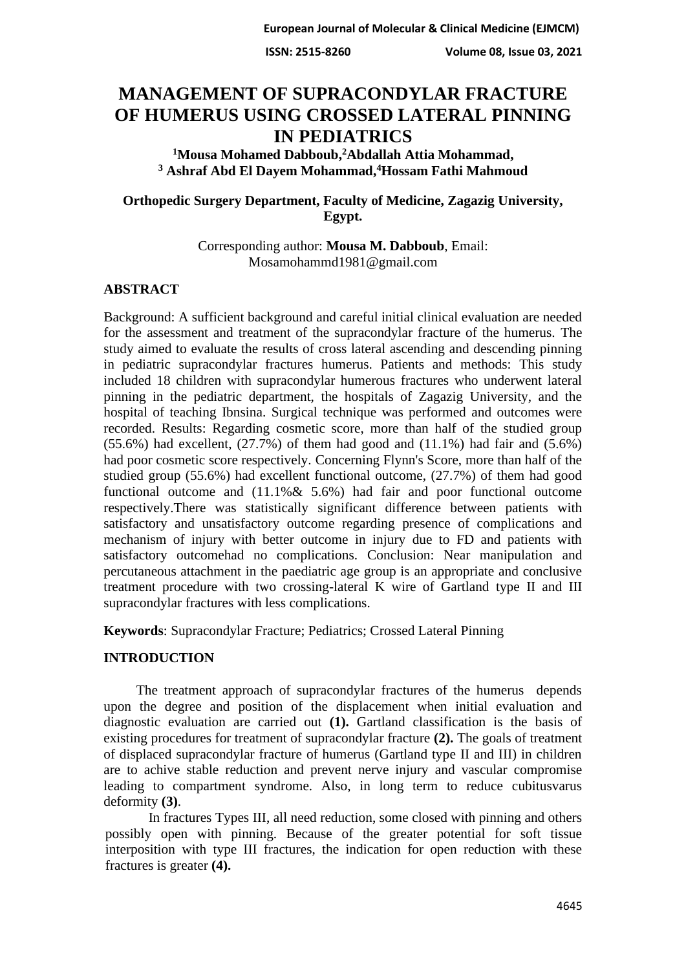# **MANAGEMENT OF SUPRACONDYLAR FRACTURE OF HUMERUS USING CROSSED LATERAL PINNING IN PEDIATRICS**

<sup>1</sup>Mousa Mohamed Dabboub,<sup>2</sup>Abdallah Attia Mohammad, **Hossam Fathi Mahmoud <sup>4</sup> Ashraf Abd El Dayem Mohammad, 3**

# **Orthopedic Surgery Department, Faculty of Medicine, Zagazig University, Egypt.**

Corresponding author: **Mousa M. Dabboub**, Email: [Mosamohammd1981@gmail.com](mailto:Mosamohammd1981@gmail.com)

# **ABSTRACT**

Background: A sufficient background and careful initial clinical evaluation are needed for the assessment and treatment of the supracondylar fracture of the humerus. The study aimed to evaluate the results of cross lateral ascending and descending pinning in pediatric supracondylar fractures humerus. Patients and methods: This study included 18 children with supracondylar humerous fractures who underwent lateral pinning in the pediatric department, the hospitals of Zagazig University, and the hospital of teaching Ibnsina. Surgical technique was performed and outcomes were recorded. Results: Regarding cosmetic score, more than half of the studied group  $(55.6\%)$  had excellent,  $(27.7\%)$  of them had good and  $(11.1\%)$  had fair and  $(5.6\%)$ had poor cosmetic score respectively. Concerning Flynn's Score, more than half of the studied group (55.6%) had excellent functional outcome, (27.7%) of them had good functional outcome and (11.1%& 5.6%) had fair and poor functional outcome respectively.There was statistically significant difference between patients with satisfactory and unsatisfactory outcome regarding presence of complications and mechanism of injury with better outcome in injury due to FD and patients with satisfactory outcomehad no complications. Conclusion: Near manipulation and percutaneous attachment in the paediatric age group is an appropriate and conclusive treatment procedure with two crossing-lateral K wire of Gartland type II and III supracondylar fractures with less complications.

**Keywords**: Supracondylar Fracture; Pediatrics; Crossed Lateral Pinning

# **INTRODUCTION**

The treatment approach of supracondylar fractures of the humerus depends upon the degree and position of the displacement when initial evaluation and diagnostic evaluation are carried out **(1).** Gartland classification is the basis of existing procedures for treatment of supracondylar fracture **(2).** The goals of treatment of displaced supracondylar fracture of humerus (Gartland type II and III) in children are to achive stable reduction and prevent nerve injury and vascular compromise leading to compartment syndrome. Also, in long term to reduce cubitusvarus deformity **(3)**.

In fractures Types III, all need reduction, some closed with pinning and others possibly open with pinning. Because of the greater potential for soft tissue interposition with type III fractures, the indication for open reduction with these fractures is greater **(4).**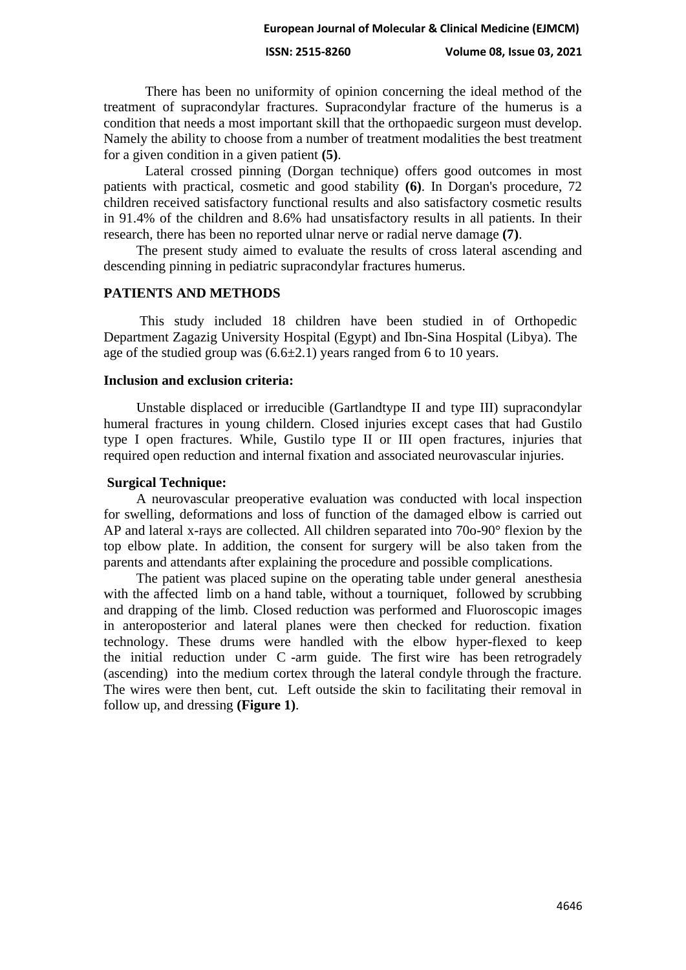There has been no uniformity of opinion concerning the ideal method of the treatment of supracondylar fractures. Supracondylar fracture of the humerus is a condition that needs a most important skill that the orthopaedic surgeon must develop. Namely the ability to choose from a number of treatment modalities the best treatment for a given condition in a given patient **(5)**.

Lateral crossed pinning (Dorgan technique) offers good outcomes in most patients with practical, cosmetic and good stability **(6)**. In Dorgan's procedure, 72 children received satisfactory functional results and also satisfactory cosmetic results in 91.4% of the children and 8.6% had unsatisfactory results in all patients. In their research, there has been no reported ulnar nerve or radial nerve damage **(7)**.

The present study aimed to evaluate the results of cross lateral ascending and descending pinning in pediatric supracondylar fractures humerus.

#### **PATIENTS AND METHODS**

This study included 18 children have been studied in of Orthopedic Department Zagazig University Hospital (Egypt) and Ibn-Sina Hospital (Libya). The age of the studied group was  $(6.6\pm 2.1)$  years ranged from 6 to 10 years.

### **Inclusion and exclusion criteria:**

Unstable displaced or irreducible (Gartlandtype II and type III) supracondylar humeral fractures in young childern. Closed injuries except cases that had Gustilo type I open fractures. While, Gustilo type II or III open fractures, injuries that required open reduction and internal fixation and associated neurovascular injuries.

#### **Surgical Technique:**

A neurovascular preoperative evaluation was conducted with local inspection for swelling, deformations and loss of function of the damaged elbow is carried out AP and lateral x-rays are collected. All children separated into 70o-90° flexion by the top elbow plate. In addition, the consent for surgery will be also taken from the parents and attendants after explaining the procedure and possible complications.

The patient was placed supine on the operating table under general anesthesia with the affected limb on a hand table, without a tourniquet, followed by scrubbing and drapping of the limb. Closed reduction was performed and Fluoroscopic images in anteroposterior and lateral planes were then checked for reduction. fixation technology. These drums were handled with the elbow hyper-flexed to keep the initial reduction under C -arm guide. The first wire has been retrogradely (ascending) into the medium cortex through the lateral condyle through the fracture. The wires were then bent, cut. Left outside the skin to facilitating their removal in follow up, and dressing **(Figure 1)**.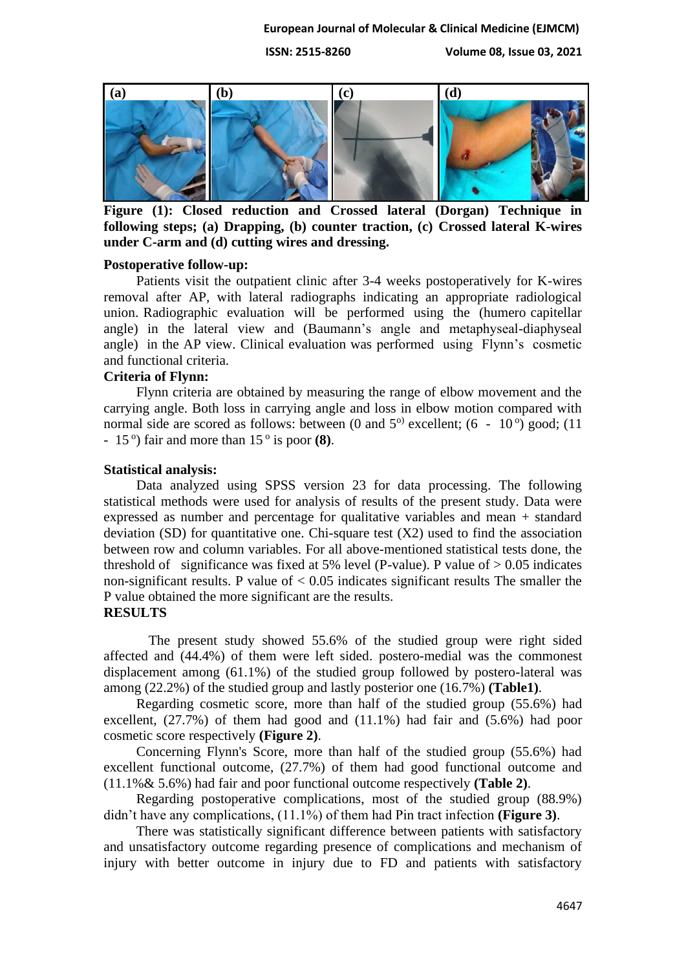#### **European Journal of Molecular & Clinical Medicine (EJMCM)**

**ISSN: 2515-8260 Volume 08, Issue 03, 2021**



**Figure (1): Closed reduction and Crossed lateral (Dorgan) Technique in following steps; (a) Drapping, (b) counter traction, (c) Crossed lateral K-wires under C-arm and (d) cutting wires and dressing.**

#### **Postoperative follow-up:**

Patients visit the outpatient clinic after 3-4 weeks postoperatively for K-wires removal after AP, with lateral radiographs indicating an appropriate radiological union. Radiographic evaluation will be performed using the (humero capitellar angle) in the lateral view and (Baumann's angle and metaphyseal-diaphyseal angle) in the AP view. Clinical evaluation was performed using Flynn's cosmetic and functional criteria.

#### **Criteria of Flynn:**

Flynn criteria are obtained by measuring the range of elbow movement and the carrying angle. Both loss in carrying angle and loss in elbow motion compared with normal side are scored as follows: between (0 and  $5^{\circ}$ ) excellent; (6 - 10<sup>o</sup>) good; (11 -  $15^{\circ}$ ) fair and more than  $15^{\circ}$  is poor **(8)**.

#### **Statistical analysis:**

Data analyzed using SPSS version 23 for data processing. The following statistical methods were used for analysis of results of the present study. Data were expressed as number and percentage for qualitative variables and mean + standard deviation (SD) for quantitative one. Chi-square test  $(X2)$  used to find the association between row and column variables. For all above-mentioned statistical tests done, the threshold of significance was fixed at 5% level (P-value). P value of  $> 0.05$  indicates non-significant results. P value of  $< 0.05$  indicates significant results The smaller the P value obtained the more significant are the results.

# **RESULTS**

The present study showed 55.6% of the studied group were right sided affected and (44.4%) of them were left sided. postero-medial was the commonest displacement among (61.1%) of the studied group followed by postero-lateral was among (22.2%) of the studied group and lastly posterior one (16.7%) **(Table1)**.

Regarding cosmetic score, more than half of the studied group (55.6%) had excellent, (27.7%) of them had good and (11.1%) had fair and (5.6%) had poor cosmetic score respectively **(Figure 2)**.

Concerning Flynn's Score, more than half of the studied group (55.6%) had excellent functional outcome, (27.7%) of them had good functional outcome and (11.1%& 5.6%) had fair and poor functional outcome respectively **(Table 2)**.

Regarding postoperative complications, most of the studied group (88.9%) didn't have any complications, (11.1%) of them had Pin tract infection **(Figure 3)**.

There was statistically significant difference between patients with satisfactory and unsatisfactory outcome regarding presence of complications and mechanism of injury with better outcome in injury due to FD and patients with satisfactory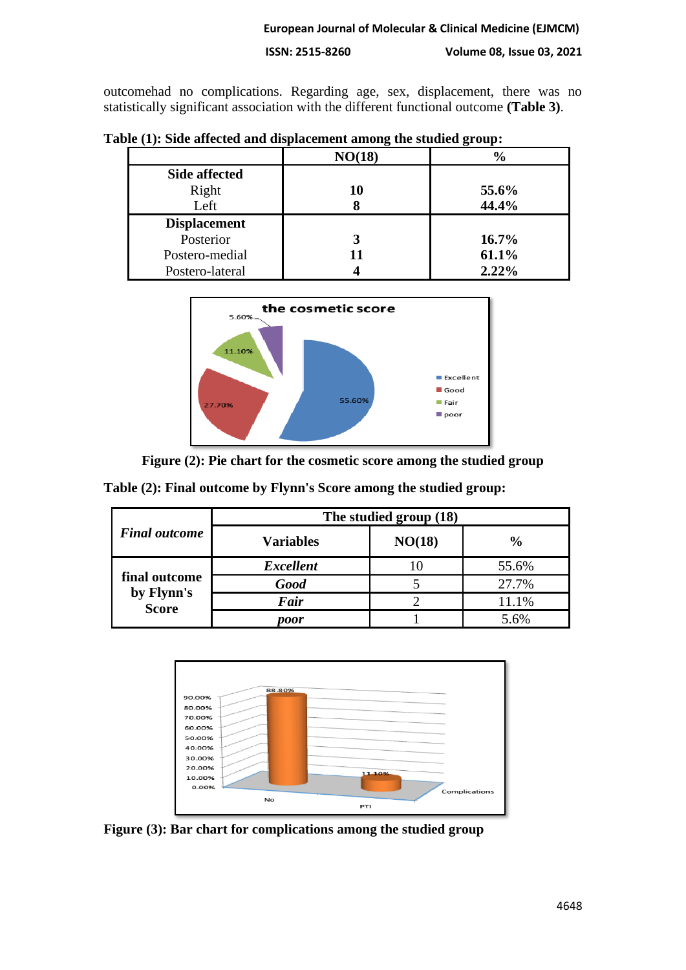#### **ISSN: 2515-8260 Volume 08, Issue 03, 2021**

outcomehad no complications. Regarding age, sex, displacement, there was no statistically significant association with the different functional outcome **(Table 3)**.

|                      | NO(18) | $\%$     |  |  |
|----------------------|--------|----------|--|--|
| <b>Side affected</b> |        |          |  |  |
| Right                | 10     | 55.6%    |  |  |
| Left                 |        | 44.4%    |  |  |
| <b>Displacement</b>  |        |          |  |  |
|                      |        |          |  |  |
| Posterior            |        | $16.7\%$ |  |  |
| Postero-medial       | 11     | 61.1%    |  |  |



**Figure (2): Pie chart for the cosmetic score among the studied group**

|                                             | The studied group (18) |        |               |  |  |
|---------------------------------------------|------------------------|--------|---------------|--|--|
| <b>Final outcome</b>                        | <b>Variables</b>       | NO(18) | $\frac{6}{6}$ |  |  |
| final outcome<br>by Flynn's<br><b>Score</b> | <b>Excellent</b>       |        | 55.6%         |  |  |
|                                             | <b>Good</b>            |        | 27.7%         |  |  |
|                                             | Fair                   |        | 11.1%         |  |  |
|                                             | <i>voor</i>            |        | 5.6%          |  |  |

**Table (2): Final outcome by Flynn's Score among the studied group:**



**Figure (3): Bar chart for complications among the studied group**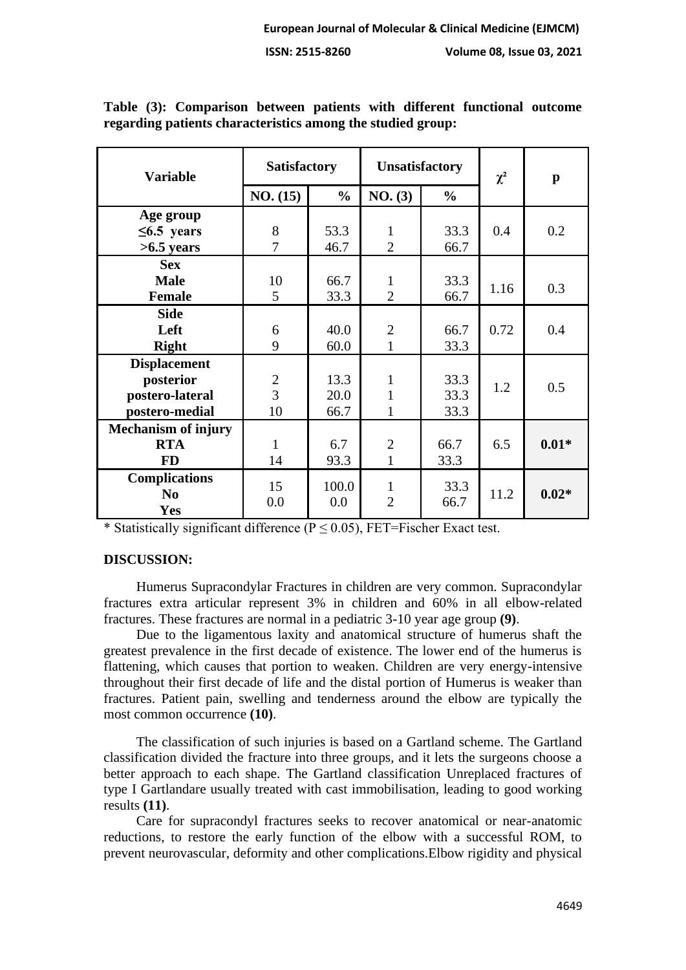| <b>Variable</b>            | <b>Satisfactory</b> |               | <b>Unsatisfactory</b> |                | $\chi^2$ | $\mathbf{p}$ |
|----------------------------|---------------------|---------------|-----------------------|----------------|----------|--------------|
|                            | NO. (15)            | $\frac{0}{0}$ | NO. (3)               | $\frac{6}{10}$ |          |              |
| Age group                  |                     |               |                       |                |          |              |
| $\leq 6.5$ years           | 8                   | 53.3          | $\mathbf{1}$          | 33.3           | 0.4      | 0.2          |
| $>6.5$ years               | 7                   | 46.7          | $\overline{2}$        | 66.7           |          |              |
| <b>Sex</b>                 |                     |               |                       |                |          |              |
| <b>Male</b>                | 10                  | 66.7          | 1                     | 33.3           | 1.16     | 0.3          |
| <b>Female</b>              | 5                   | 33.3          | $\overline{2}$        | 66.7           |          |              |
| <b>Side</b>                |                     |               |                       |                |          |              |
| Left                       | 6                   | 40.0          | $\overline{2}$        | 66.7           | 0.72     | 0.4          |
| <b>Right</b>               | 9                   | 60.0          | $\mathbf{1}$          | 33.3           |          |              |
| <b>Displacement</b>        |                     |               |                       |                |          |              |
| posterior                  | $\overline{2}$      | 13.3          | 1                     | 33.3           | 1.2      | 0.5          |
| postero-lateral            | 3                   | 20.0          | $\mathbf{1}$          | 33.3           |          |              |
| postero-medial             | 10                  | 66.7          | $\mathbf{1}$          | 33.3           |          |              |
| <b>Mechanism of injury</b> |                     |               |                       |                |          |              |
| <b>RTA</b>                 | 1                   | 6.7           | $\overline{2}$        | 66.7           | 6.5      | $0.01*$      |
| <b>FD</b>                  | 14                  | 93.3          | $\mathbf{1}$          | 33.3           |          |              |
| <b>Complications</b>       | 15                  | 100.0         | $\mathbf{1}$          | 33.3           |          |              |
| N <sub>0</sub>             | 0.0                 | 0.0           | $\overline{2}$        | 66.7           | 11.2     | $0.02*$      |
| Yes                        |                     |               |                       |                |          |              |

**Table (3): Comparison between patients with different functional outcome regarding patients characteristics among the studied group:**

\* Statistically significant difference  $(P \le 0.05)$ , FET=Fischer Exact test.

# **DISCUSSION:**

Humerus Supracondylar Fractures in children are very common. Supracondylar fractures extra articular represent 3% in children and 60% in all elbow-related fractures. These fractures are normal in a pediatric 3-10 year age group **(9)**.

Due to the ligamentous laxity and anatomical structure of humerus shaft the greatest prevalence in the first decade of existence. The lower end of the humerus is flattening, which causes that portion to weaken. Children are very energy-intensive throughout their first decade of life and the distal portion of Humerus is weaker than fractures. Patient pain, swelling and tenderness around the elbow are typically the most common occurrence **(10)**.

The classification of such injuries is based on a Gartland scheme. The Gartland classification divided the fracture into three groups, and it lets the surgeons choose a better approach to each shape. The Gartland classification Unreplaced fractures of type I Gartlandare usually treated with cast immobilisation, leading to good working results **(11)**.

Care for supracondyl fractures seeks to recover anatomical or near-anatomic reductions, to restore the early function of the elbow with a successful ROM, to prevent neurovascular, deformity and other complications.Elbow rigidity and physical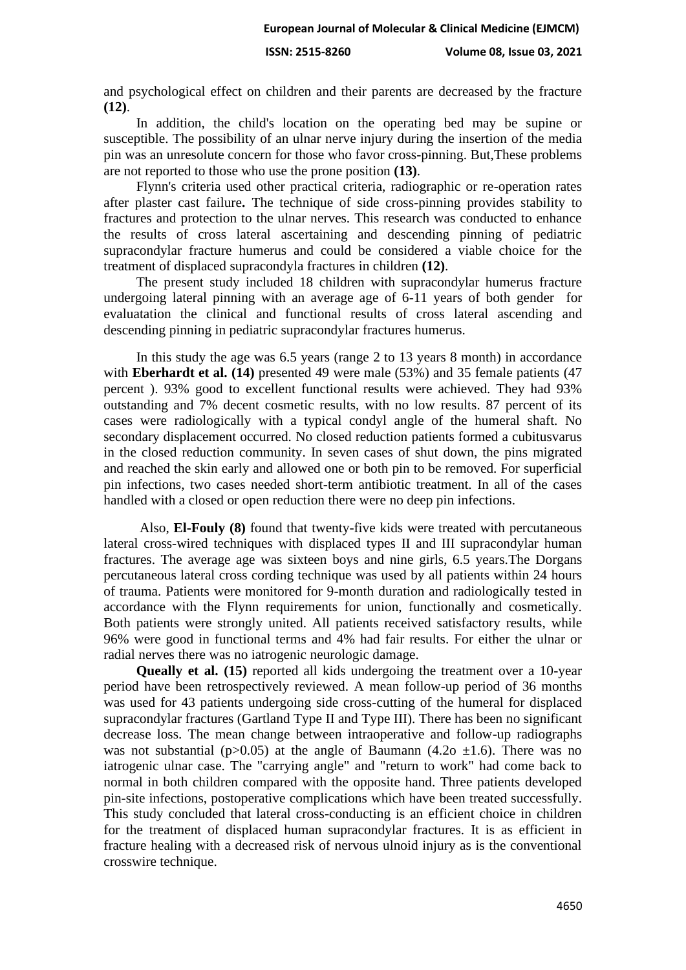and psychological effect on children and their parents are decreased by the fracture **(12)**.

In addition, the child's location on the operating bed may be supine or susceptible. The possibility of an ulnar nerve injury during the insertion of the media pin was an unresolute concern for those who favor cross-pinning. But,These problems are not reported to those who use the prone position **(13)**.

Flynn's criteria used other practical criteria, radiographic or re-operation rates after plaster cast failure**.** The technique of side cross-pinning provides stability to fractures and protection to the ulnar nerves. This research was conducted to enhance the results of cross lateral ascertaining and descending pinning of pediatric supracondylar fracture humerus and could be considered a viable choice for the treatment of displaced supracondyla fractures in children **(12)**.

The present study included 18 children with supracondylar humerus fracture undergoing lateral pinning with an average age of 6-11 years of both gender for evaluatation the clinical and functional results of cross lateral ascending and descending pinning in pediatric supracondylar fractures humerus.

In this study the age was 6.5 years (range 2 to 13 years 8 month) in accordance with **Eberhardt et al. (14)** presented 49 were male (53%) and 35 female patients (47) percent ). 93% good to excellent functional results were achieved. They had 93% outstanding and 7% decent cosmetic results, with no low results. 87 percent of its cases were radiologically with a typical condyl angle of the humeral shaft. No secondary displacement occurred. No closed reduction patients formed a cubitusvarus in the closed reduction community. In seven cases of shut down, the pins migrated and reached the skin early and allowed one or both pin to be removed. For superficial pin infections, two cases needed short-term antibiotic treatment. In all of the cases handled with a closed or open reduction there were no deep pin infections.

Also, **El-Fouly (8)** found that twenty-five kids were treated with percutaneous lateral cross-wired techniques with displaced types II and III supracondylar human fractures. The average age was sixteen boys and nine girls, 6.5 years.The Dorgans percutaneous lateral cross cording technique was used by all patients within 24 hours of trauma. Patients were monitored for 9-month duration and radiologically tested in accordance with the Flynn requirements for union, functionally and cosmetically. Both patients were strongly united. All patients received satisfactory results, while 96% were good in functional terms and 4% had fair results. For either the ulnar or radial nerves there was no iatrogenic neurologic damage.

**Queally et al. (15)** reported all kids undergoing the treatment over a 10-year period have been retrospectively reviewed. A mean follow-up period of 36 months was used for 43 patients undergoing side cross-cutting of the humeral for displaced supracondylar fractures (Gartland Type II and Type III). There has been no significant decrease loss. The mean change between intraoperative and follow-up radiographs was not substantial (p $>0.05$ ) at the angle of Baumann (4.2o  $\pm 1.6$ ). There was no iatrogenic ulnar case. The "carrying angle" and "return to work" had come back to normal in both children compared with the opposite hand. Three patients developed pin-site infections, postoperative complications which have been treated successfully. This study concluded that lateral cross-conducting is an efficient choice in children for the treatment of displaced human supracondylar fractures. It is as efficient in fracture healing with a decreased risk of nervous ulnoid injury as is the conventional crosswire technique.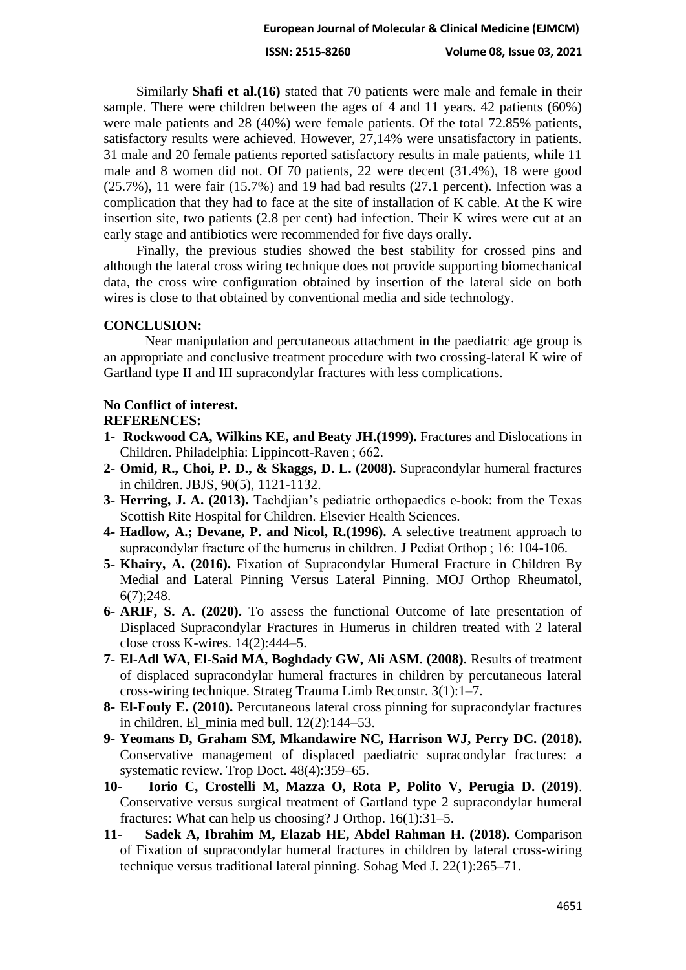**ISSN: 2515-8260 Volume 08, Issue 03, 2021**

Similarly **Shafi et al.(16)** stated that 70 patients were male and female in their sample. There were children between the ages of 4 and 11 years. 42 patients (60%) were male patients and 28 (40%) were female patients. Of the total 72.85% patients, satisfactory results were achieved. However, 27,14% were unsatisfactory in patients. 31 male and 20 female patients reported satisfactory results in male patients, while 11 male and 8 women did not. Of 70 patients, 22 were decent (31.4%), 18 were good (25.7%), 11 were fair (15.7%) and 19 had bad results (27.1 percent). Infection was a complication that they had to face at the site of installation of K cable. At the K wire insertion site, two patients (2.8 per cent) had infection. Their K wires were cut at an early stage and antibiotics were recommended for five days orally.

Finally, the previous studies showed the best stability for crossed pins and although the lateral cross wiring technique does not provide supporting biomechanical data, the cross wire configuration obtained by insertion of the lateral side on both wires is close to that obtained by conventional media and side technology.

# **CONCLUSION:**

Near manipulation and percutaneous attachment in the paediatric age group is an appropriate and conclusive treatment procedure with two crossing-lateral K wire of Gartland type II and III supracondylar fractures with less complications.

# **No Conflict of interest.**

**REFERENCES:**

- **1- Rockwood CA, Wilkins KE, and Beaty JH.(1999).** Fractures and Dislocations in Children. Philadelphia: Lippincott-Raven ; 662.
- **2- Omid, R., Choi, P. D., & Skaggs, D. L. (2008).** Supracondylar humeral fractures in children. JBJS, 90(5), 1121-1132.
- **3- Herring, J. A. (2013).** Tachdjian's pediatric orthopaedics e-book: from the Texas Scottish Rite Hospital for Children. Elsevier Health Sciences.
- **4- Hadlow, A.; Devane, P. and Nicol, R.(1996).** A selective treatment approach to supracondylar fracture of the humerus in children. J Pediat Orthop ; 16: 104-106.
- **5- Khairy, A. (2016).** Fixation of Supracondylar Humeral Fracture in Children By Medial and Lateral Pinning Versus Lateral Pinning. MOJ Orthop Rheumatol, 6(7);248.
- **6- ARIF, S. A. (2020).** To assess the functional Outcome of late presentation of Displaced Supracondylar Fractures in Humerus in children treated with 2 lateral close cross K-wires. 14(2):444–5.
- **7- El-Adl WA, El-Said MA, Boghdady GW, Ali ASM. (2008).** Results of treatment of displaced supracondylar humeral fractures in children by percutaneous lateral cross-wiring technique. Strateg Trauma Limb Reconstr. 3(1):1–7.
- **8- El-Fouly E. (2010).** Percutaneous lateral cross pinning for supracondylar fractures in children. El\_minia med bull. 12(2):144–53.
- **9- Yeomans D, Graham SM, Mkandawire NC, Harrison WJ, Perry DC. (2018).** Conservative management of displaced paediatric supracondylar fractures: a systematic review. Trop Doct. 48(4):359–65.
- **10- Iorio C, Crostelli M, Mazza O, Rota P, Polito V, Perugia D. (2019)**. Conservative versus surgical treatment of Gartland type 2 supracondylar humeral fractures: What can help us choosing? J Orthop. 16(1):31–5.
- **11- Sadek A, Ibrahim M, Elazab HE, Abdel Rahman H. (2018).** Comparison of Fixation of supracondylar humeral fractures in children by lateral cross-wiring technique versus traditional lateral pinning. Sohag Med J. 22(1):265–71.